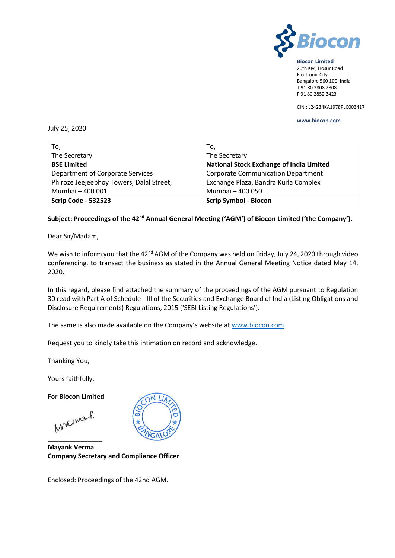

#### **Biocon Limited** 20th KM, Hosur Road Electronic City Bangalore 560 100, India T 91 80 2808 2808 F 91 80 2852 3423

CIN : L24234KA1978PLC003417

#### **www.biocon.com**

July 25, 2020

| To,                                      | To,                                             |
|------------------------------------------|-------------------------------------------------|
| The Secretary                            | The Secretary                                   |
| <b>BSE Limited</b>                       | <b>National Stock Exchange of India Limited</b> |
| Department of Corporate Services         | <b>Corporate Communication Department</b>       |
| Phiroze Jeejeebhoy Towers, Dalal Street, | Exchange Plaza, Bandra Kurla Complex            |
| Mumbai - 400 001                         | Mumbai - 400 050                                |
| <b>Scrip Code - 532523</b>               | <b>Scrip Symbol - Biocon</b>                    |

# **Subject: Proceedings of the 42nd Annual General Meeting ('AGM') of Biocon Limited ('the Company').**

Dear Sir/Madam,

We wish to inform you that the 42<sup>nd</sup> AGM of the Company was held on Friday, July 24, 2020 through video conferencing, to transact the business as stated in the Annual General Meeting Notice dated May 14, 2020.

In this regard, please find attached the summary of the proceedings of the AGM pursuant to Regulation 30 read with Part A of Schedule - III of the Securities and Exchange Board of India (Listing Obligations and Disclosure Requirements) Regulations, 2015 ('SEBI Listing Regulations').

The same is also made available on the Company's website at [www.biocon.com.](http://www.biocon.com/)

Request you to kindly take this intimation on record and acknowledge.

Thanking You,

Yours faithfully,

For **Biocon Limited**

Meinel.

\_\_\_\_\_\_\_\_\_\_\_\_\_\_\_

**Mayank Verma Company Secretary and Compliance Officer**

Enclosed: Proceedings of the 42nd AGM.

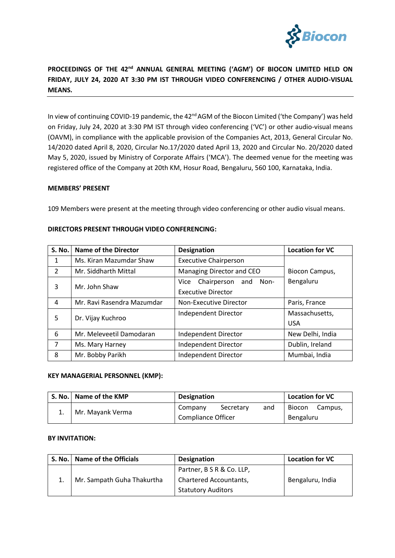

# **PROCEEDINGS OF THE 42nd ANNUAL GENERAL MEETING ('AGM') OF BIOCON LIMITED HELD ON FRIDAY, JULY 24, 2020 AT 3:30 PM IST THROUGH VIDEO CONFERENCING / OTHER AUDIO-VISUAL MEANS.**

In view of continuing COVID-19 pandemic, the 42<sup>nd</sup> AGM of the Biocon Limited ('the Company') was held on Friday, July 24, 2020 at 3:30 PM IST through video conferencing ('VC') or other audio-visual means (OAVM), in compliance with the applicable provision of the Companies Act, 2013, General Circular No. 14/2020 dated April 8, 2020, Circular No.17/2020 dated April 13, 2020 and Circular No. 20/2020 dated May 5, 2020, issued by Ministry of Corporate Affairs ('MCA'). The deemed venue for the meeting was registered office of the Company at 20th KM, Hosur Road, Bengaluru, 560 100, Karnataka, India.

### **MEMBERS' PRESENT**

109 Members were present at the meeting through video conferencing or other audio visual means.

| <b>S. No.</b> | <b>Name of the Director</b> | <b>Designation</b>                                              | <b>Location for VC</b>       |
|---------------|-----------------------------|-----------------------------------------------------------------|------------------------------|
| 1             | Ms. Kiran Mazumdar Shaw     | <b>Executive Chairperson</b>                                    |                              |
| $\mathcal{P}$ | Mr. Siddharth Mittal        | Managing Director and CEO                                       | Biocon Campus,               |
| 3             | Mr. John Shaw               | Chairperson<br>Non-<br>and<br>Vice<br><b>Executive Director</b> | Bengaluru                    |
| 4             | Mr. Ravi Rasendra Mazumdar  | Non-Executive Director                                          | Paris, France                |
| 5             | Dr. Vijay Kuchroo           | Independent Director                                            | Massachusetts,<br><b>USA</b> |
| 6             | Mr. Meleveetil Damodaran    | Independent Director                                            | New Delhi, India             |
| 7             | Ms. Mary Harney             | Independent Director                                            | Dublin, Ireland              |
| 8             | Mr. Bobby Parikh            | Independent Director                                            | Mumbai, India                |

### **DIRECTORS PRESENT THROUGH VIDEO CONFERENCING:**

#### **KEY MANAGERIAL PERSONNEL (KMP):**

| S. No.   Name of the KMP | <b>Designation</b>        |           | Location for VC |        |         |
|--------------------------|---------------------------|-----------|-----------------|--------|---------|
| Mr. Mayank Verma         | Company                   | Secretary | and             | Biocon | Campus, |
|                          | <b>Compliance Officer</b> |           | Bengaluru       |        |         |

## **BY INVITATION:**

| S. No. | Name of the Officials      | <b>Designation</b>            | <b>Location for VC</b> |
|--------|----------------------------|-------------------------------|------------------------|
|        | Mr. Sampath Guha Thakurtha | Partner, B S R & Co. LLP,     |                        |
|        |                            | <b>Chartered Accountants,</b> | Bengaluru, India       |
|        |                            | <b>Statutory Auditors</b>     |                        |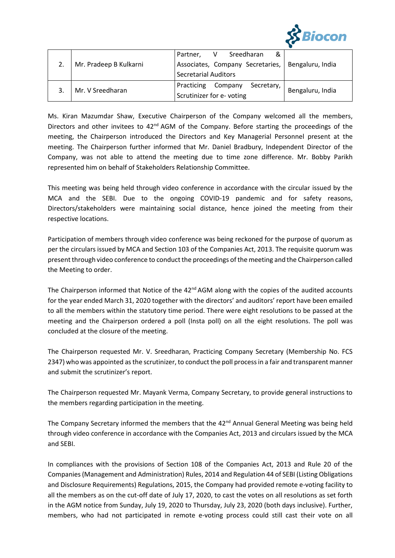

|  |                        | Sreedharan<br>Partner,<br>V<br>&                  |                  |
|--|------------------------|---------------------------------------------------|------------------|
|  | Mr. Pradeep B Kulkarni | Associates, Company Secretaries, Bengaluru, India |                  |
|  |                        | <b>Secretarial Auditors</b>                       |                  |
|  | Mr. V Sreedharan       | Practicing Company<br>Secretary,                  | Bengaluru, India |
|  |                        | Scrutinizer for e-voting                          |                  |

Ms. Kiran Mazumdar Shaw, Executive Chairperson of the Company welcomed all the members, Directors and other invitees to 42<sup>nd</sup> AGM of the Company. Before starting the proceedings of the meeting, the Chairperson introduced the Directors and Key Managerial Personnel present at the meeting. The Chairperson further informed that Mr. Daniel Bradbury, Independent Director of the Company, was not able to attend the meeting due to time zone difference. Mr. Bobby Parikh represented him on behalf of Stakeholders Relationship Committee.

This meeting was being held through video conference in accordance with the circular issued by the MCA and the SEBI. Due to the ongoing COVID-19 pandemic and for safety reasons, Directors/stakeholders were maintaining social distance, hence joined the meeting from their respective locations.

Participation of members through video conference was being reckoned for the purpose of quorum as per the circulars issued by MCA and Section 103 of the Companies Act, 2013. The requisite quorum was present through video conference to conduct the proceedings of the meeting and the Chairperson called the Meeting to order.

The Chairperson informed that Notice of the  $42<sup>nd</sup>$  AGM along with the copies of the audited accounts for the year ended March 31, 2020 together with the directors' and auditors' report have been emailed to all the members within the statutory time period. There were eight resolutions to be passed at the meeting and the Chairperson ordered a poll (Insta poll) on all the eight resolutions. The poll was concluded at the closure of the meeting.

The Chairperson requested Mr. V. Sreedharan, Practicing Company Secretary (Membership No. FCS 2347) who was appointed as the scrutinizer, to conduct the poll process in a fair and transparent manner and submit the scrutinizer's report.

The Chairperson requested Mr. Mayank Verma, Company Secretary, to provide general instructions to the members regarding participation in the meeting.

The Company Secretary informed the members that the 42<sup>nd</sup> Annual General Meeting was being held through video conference in accordance with the Companies Act, 2013 and circulars issued by the MCA and SEBI.

In compliances with the provisions of Section 108 of the Companies Act, 2013 and Rule 20 of the Companies (Management and Administration) Rules, 2014 and Regulation 44 of SEBI (Listing Obligations and Disclosure Requirements) Regulations, 2015, the Company had provided remote e-voting facility to all the members as on the cut-off date of July 17, 2020, to cast the votes on all resolutions as set forth in the AGM notice from Sunday, July 19, 2020 to Thursday, July 23, 2020 (both days inclusive). Further, members, who had not participated in remote e-voting process could still cast their vote on all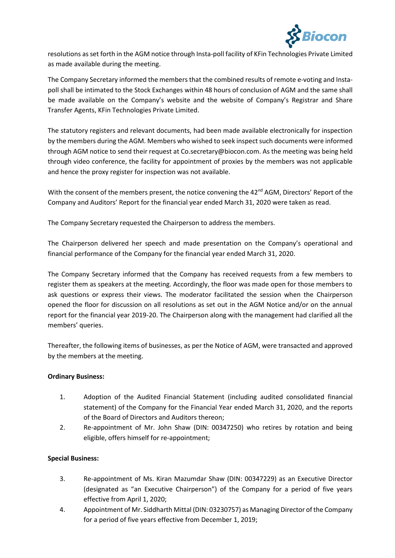

resolutions as set forth in the AGM notice through Insta-poll facility of KFin Technologies Private Limited as made available during the meeting.

The Company Secretary informed the members that the combined results of remote e-voting and Instapoll shall be intimated to the Stock Exchanges within 48 hours of conclusion of AGM and the same shall be made available on the Company's website and the website of Company's Registrar and Share Transfer Agents, KFin Technologies Private Limited.

The statutory registers and relevant documents, had been made available electronically for inspection by the members during the AGM. Members who wished to seek inspect such documents were informed through AGM notice to send their request a[t Co.secretary@biocon.com.](mailto:Co.secretary@biocon.com) As the meeting was being held through video conference, the facility for appointment of proxies by the members was not applicable and hence the proxy register for inspection was not available.

With the consent of the members present, the notice convening the 42<sup>nd</sup> AGM, Directors' Report of the Company and Auditors' Report for the financial year ended March 31, 2020 were taken as read.

The Company Secretary requested the Chairperson to address the members.

The Chairperson delivered her speech and made presentation on the Company's operational and financial performance of the Company for the financial year ended March 31, 2020.

The Company Secretary informed that the Company has received requests from a few members to register them as speakers at the meeting. Accordingly, the floor was made open for those members to ask questions or express their views. The moderator facilitated the session when the Chairperson opened the floor for discussion on all resolutions as set out in the AGM Notice and/or on the annual report for the financial year 2019-20. The Chairperson along with the management had clarified all the members' queries.

Thereafter, the following items of businesses, as per the Notice of AGM, were transacted and approved by the members at the meeting.

# **Ordinary Business:**

- 1. Adoption of the Audited Financial Statement (including audited consolidated financial statement) of the Company for the Financial Year ended March 31, 2020, and the reports of the Board of Directors and Auditors thereon;
- 2. Re-appointment of Mr. John Shaw (DIN: 00347250) who retires by rotation and being eligible, offers himself for re-appointment;

### **Special Business:**

- 3. Re-appointment of Ms. Kiran Mazumdar Shaw (DIN: 00347229) as an Executive Director (designated as "an Executive Chairperson") of the Company for a period of five years effective from April 1, 2020;
- 4. Appointment of Mr. Siddharth Mittal (DIN: 03230757) as Managing Director of the Company for a period of five years effective from December 1, 2019;